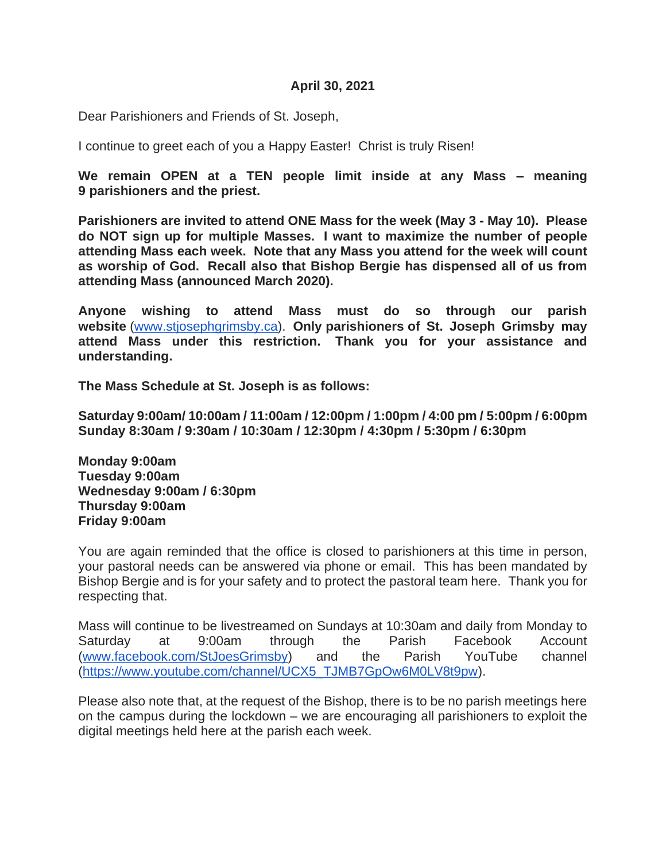#### **April 30, 2021**

Dear Parishioners and Friends of St. Joseph,

I continue to greet each of you a Happy Easter! Christ is truly Risen!

**We remain OPEN at a TEN people limit inside at any Mass – meaning 9 parishioners and the priest.** 

**Parishioners are invited to attend ONE Mass for the week (May 3 - May 10). Please do NOT sign up for multiple Masses. I want to maximize the number of people attending Mass each week. Note that any Mass you attend for the week will count as worship of God. Recall also that Bishop Bergie has dispensed all of us from attending Mass (announced March 2020).** 

**Anyone wishing to attend Mass must do so through our parish website** [\(www.stjosephgrimsby.ca\)](http://www.stjosephgrimsby.ca/). **Only parishioners of St. Joseph Grimsby may attend Mass under this restriction. Thank you for your assistance and understanding.** 

**The Mass Schedule at St. Joseph is as follows:**

**Saturday 9:00am/ 10:00am / 11:00am / 12:00pm / 1:00pm / 4:00 pm / 5:00pm / 6:00pm Sunday 8:30am / 9:30am / 10:30am / 12:30pm / 4:30pm / 5:30pm / 6:30pm**

**Monday 9:00am Tuesday 9:00am Wednesday 9:00am / 6:30pm Thursday 9:00am Friday 9:00am**

You are again reminded that the office is closed to parishioners at this time in person, your pastoral needs can be answered via phone or email. This has been mandated by Bishop Bergie and is for your safety and to protect the pastoral team here. Thank you for respecting that.

Mass will continue to be livestreamed on Sundays at 10:30am and daily from Monday to Saturday at 9:00am through the Parish Facebook Account [\(www.facebook.com/StJoesGrimsby\)](http://www.facebook.com/StJoesGrimsby) and the Parish YouTube channel [\(https://www.youtube.com/channel/UCX5\\_TJMB7GpOw6M0LV8t9pw\)](https://www.youtube.com/channel/UCX5_TJMB7GpOw6M0LV8t9pw).

Please also note that, at the request of the Bishop, there is to be no parish meetings here on the campus during the lockdown – we are encouraging all parishioners to exploit the digital meetings held here at the parish each week.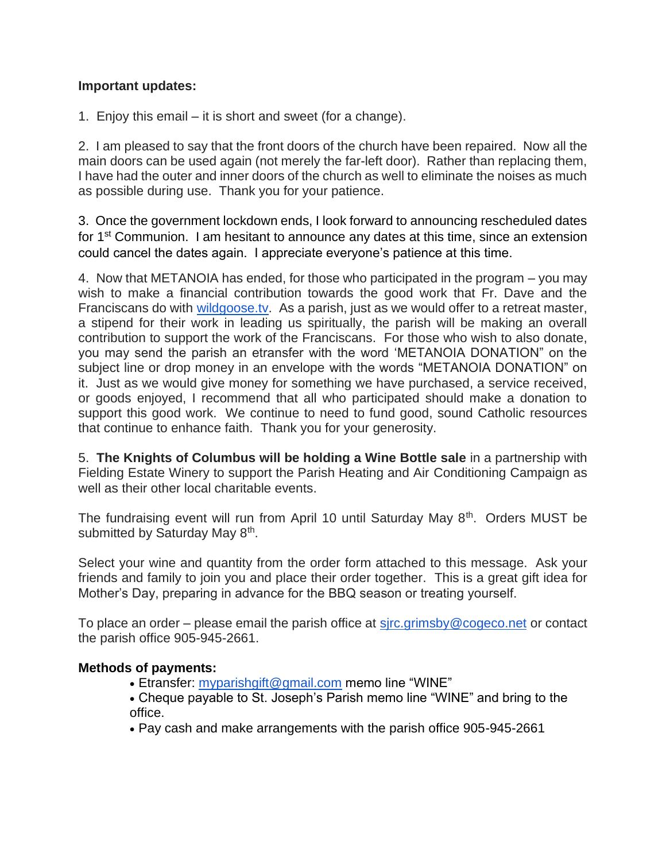### **Important updates:**

1. Enjoy this email – it is short and sweet (for a change).

2. I am pleased to say that the front doors of the church have been repaired. Now all the main doors can be used again (not merely the far-left door). Rather than replacing them, I have had the outer and inner doors of the church as well to eliminate the noises as much as possible during use. Thank you for your patience.

3. Once the government lockdown ends, I look forward to announcing rescheduled dates for 1<sup>st</sup> Communion. I am hesitant to announce any dates at this time, since an extension could cancel the dates again. I appreciate everyone's patience at this time.

4. Now that METANOIA has ended, for those who participated in the program – you may wish to make a financial contribution towards the good work that Fr. Dave and the Franciscans do with [wildgoose.tv.](http://wildgoose.tv/) As a parish, just as we would offer to a retreat master, a stipend for their work in leading us spiritually, the parish will be making an overall contribution to support the work of the Franciscans. For those who wish to also donate, you may send the parish an etransfer with the word 'METANOIA DONATION" on the subject line or drop money in an envelope with the words "METANOIA DONATION" on it. Just as we would give money for something we have purchased, a service received, or goods enjoyed, I recommend that all who participated should make a donation to support this good work. We continue to need to fund good, sound Catholic resources that continue to enhance faith. Thank you for your generosity.

5. **The Knights of Columbus will be holding a Wine Bottle sale** in a partnership with Fielding Estate Winery to support the Parish Heating and Air Conditioning Campaign as well as their other local charitable events.

The fundraising event will run from April 10 until Saturday May 8<sup>th</sup>. Orders MUST be submitted by Saturday May 8<sup>th</sup>.

Select your wine and quantity from the order form attached to this message. Ask your friends and family to join you and place their order together. This is a great gift idea for Mother's Day, preparing in advance for the BBQ season or treating yourself.

To place an order – please email the parish office at [sjrc.grimsby@cogeco.net](mailto:sjrc.grimsby@cogeco.net) or contact the parish office 905-945-2661.

### **Methods of payments:**

- Etransfer: [myparishgift@gmail.com](mailto:myparishgift@gmail.com) memo line "WINE"
- Cheque payable to St. Joseph's Parish memo line "WINE" and bring to the office.
- Pay cash and make arrangements with the parish office 905-945-2661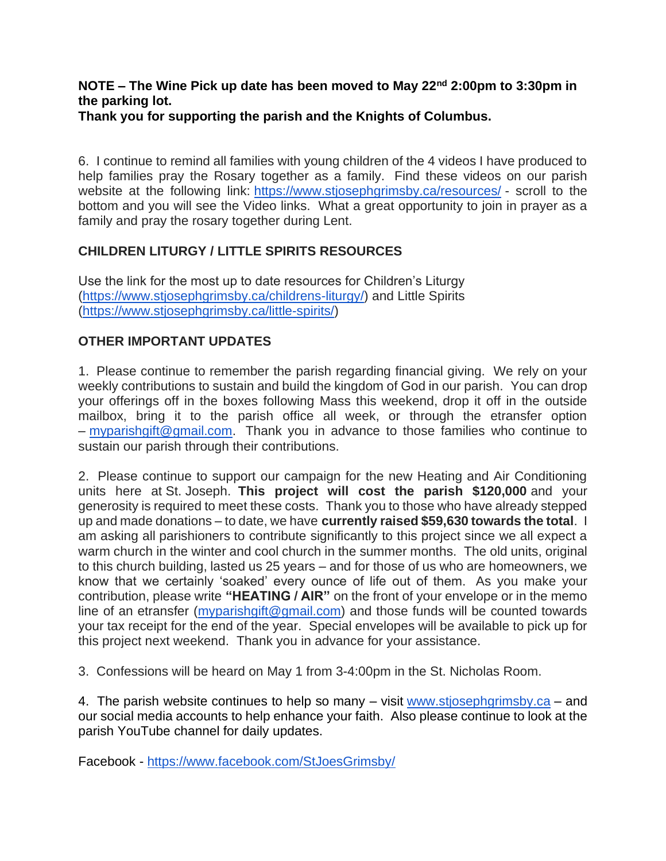# **NOTE – The Wine Pick up date has been moved to May 22nd 2:00pm to 3:30pm in the parking lot.**

**Thank you for supporting the parish and the Knights of Columbus.**

6. I continue to remind all families with young children of the 4 videos I have produced to help families pray the Rosary together as a family. Find these videos on our parish website at the following link: <https://www.stjosephgrimsby.ca/resources/> - scroll to the bottom and you will see the Video links. What a great opportunity to join in prayer as a family and pray the rosary together during Lent.

## **CHILDREN LITURGY / LITTLE SPIRITS RESOURCES**

Use the link for the most up to date resources for Children's Liturgy [\(https://www.stjosephgrimsby.ca/childrens-liturgy/\)](https://www.stjosephgrimsby.ca/childrens-liturgy/) and Little Spirits [\(https://www.stjosephgrimsby.ca/little-spirits/\)](https://www.stjosephgrimsby.ca/little-spirits/)

## **OTHER IMPORTANT UPDATES**

1. Please continue to remember the parish regarding financial giving. We rely on your weekly contributions to sustain and build the kingdom of God in our parish. You can drop your offerings off in the boxes following Mass this weekend, drop it off in the outside mailbox, bring it to the parish office all week, or through the etransfer option – [myparishgift@gmail.com.](mailto:myparishgift@gmail.com) Thank you in advance to those families who continue to sustain our parish through their contributions.

2. Please continue to support our campaign for the new Heating and Air Conditioning units here at St. Joseph. **This project will cost the parish \$120,000** and your generosity is required to meet these costs. Thank you to those who have already stepped up and made donations – to date, we have **currently raised \$59,630 towards the total**. I am asking all parishioners to contribute significantly to this project since we all expect a warm church in the winter and cool church in the summer months. The old units, original to this church building, lasted us 25 years – and for those of us who are homeowners, we know that we certainly 'soaked' every ounce of life out of them. As you make your contribution, please write **"HEATING / AIR"** on the front of your envelope or in the memo line of an etransfer [\(myparishgift@gmail.com\)](mailto:myparishgift@gmail.com) and those funds will be counted towards your tax receipt for the end of the year. Special envelopes will be available to pick up for this project next weekend. Thank you in advance for your assistance.

3. Confessions will be heard on May 1 from 3-4:00pm in the St. Nicholas Room.

4. The parish website continues to help so many – visit [www.stjosephgrimsby.ca](http://www.stjosephgrimsby.ca/) – and our social media accounts to help enhance your faith. Also please continue to look at the parish YouTube channel for daily updates.

Facebook - <https://www.facebook.com/StJoesGrimsby/>